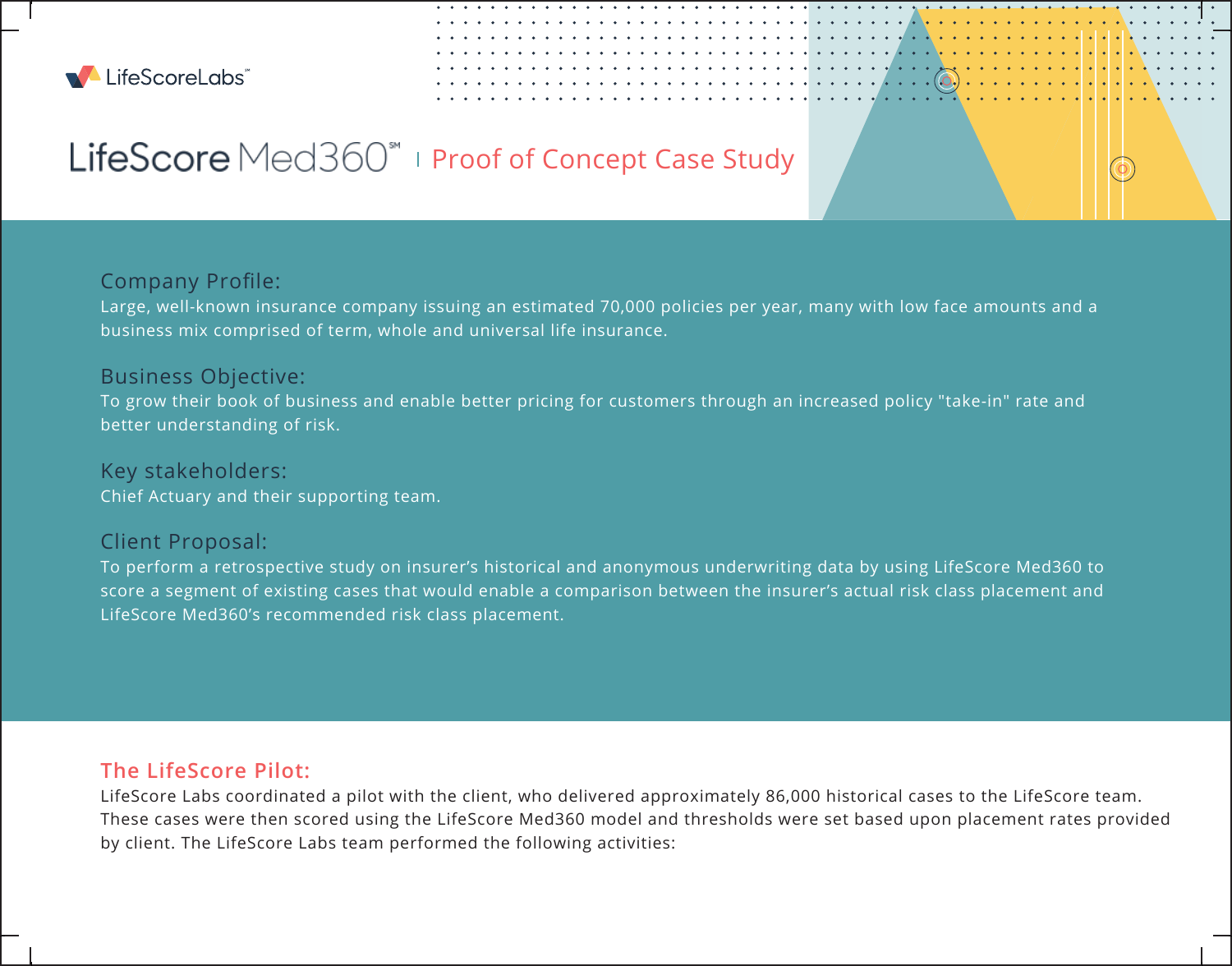

# LifeScore Med360<sup>\*</sup> I Proof of Concept Case Study

## Company Profile:

Large, well-known insurance company issuing an estimated 70,000 policies per year, many with low face amounts and a business mix comprised of term, whole and universal life insurance.

### Business Objective:

To grow their book of business and enable better pricing for customers through an increased policy "take-in" rate and better understanding of risk.

### Key stakeholders:

Chief Actuary and their supporting team.

#### Client Proposal:

To perform a retrospective study on insurer's historical and anonymous underwriting data by using LifeScore Med360 to score a segment of existing cases that would enable a comparison between the insurer's actual risk class placement and LifeScore Med360's recommended risk class placement.

## **The LifeScore Pilot:**

LifeScore Labs coordinated a pilot with the client, who delivered approximately 86,000 historical cases to the LifeScore team. These cases were then scored using the LifeScore Med360 model and thresholds were set based upon placement rates provided by client. The LifeScore Labs team performed the following activities: